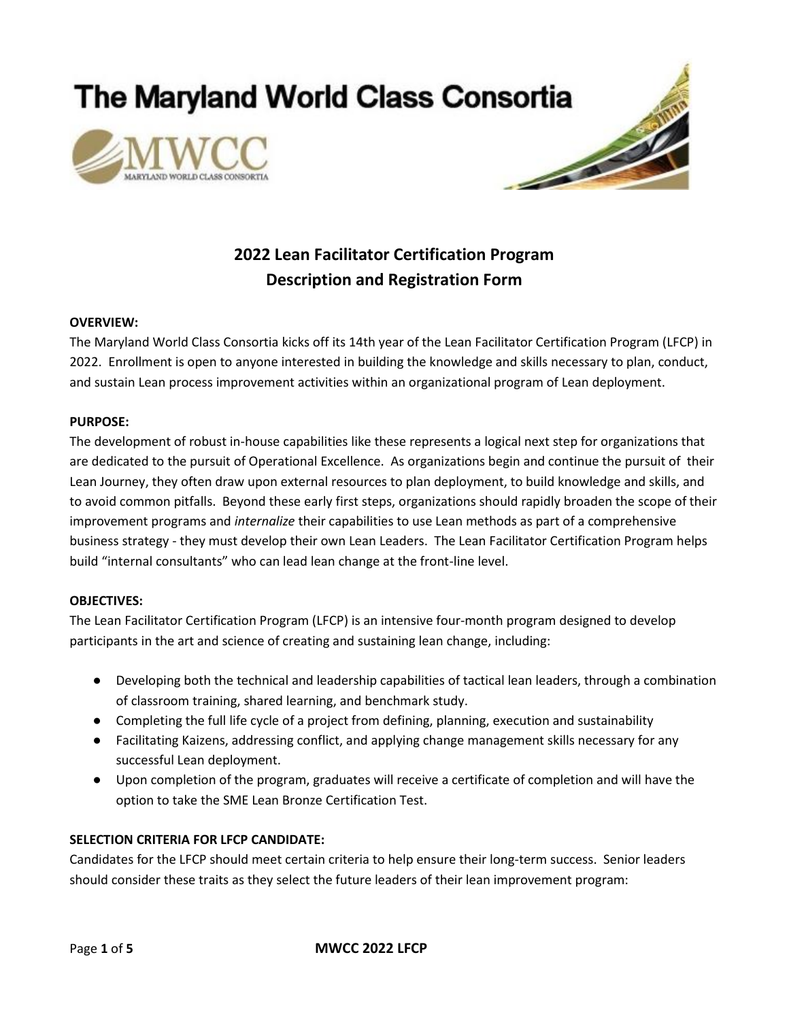**The Maryland World Class Consortia** 





# **2022 Lean Facilitator Certification Program Description and Registration Form**

#### **OVERVIEW:**

The Maryland World Class Consortia kicks off its 14th year of the Lean Facilitator Certification Program (LFCP) in 2022. Enrollment is open to anyone interested in building the knowledge and skills necessary to plan, conduct, and sustain Lean process improvement activities within an organizational program of Lean deployment.

#### **PURPOSE:**

The development of robust in-house capabilities like these represents a logical next step for organizations that are dedicated to the pursuit of Operational Excellence. As organizations begin and continue the pursuit of their Lean Journey, they often draw upon external resources to plan deployment, to build knowledge and skills, and to avoid common pitfalls. Beyond these early first steps, organizations should rapidly broaden the scope of their improvement programs and *internalize* their capabilities to use Lean methods as part of a comprehensive business strategy - they must develop their own Lean Leaders. The Lean Facilitator Certification Program helps build "internal consultants" who can lead lean change at the front-line level.

#### **OBJECTIVES:**

The Lean Facilitator Certification Program (LFCP) is an intensive four-month program designed to develop participants in the art and science of creating and sustaining lean change, including:

- Developing both the technical and leadership capabilities of tactical lean leaders, through a combination of classroom training, shared learning, and benchmark study.
- Completing the full life cycle of a project from defining, planning, execution and sustainability
- Facilitating Kaizens, addressing conflict, and applying change management skills necessary for any successful Lean deployment.
- Upon completion of the program, graduates will receive a certificate of completion and will have the option to take the SME Lean Bronze Certification Test.

# **SELECTION CRITERIA FOR LFCP CANDIDATE:**

Candidates for the LFCP should meet certain criteria to help ensure their long-term success. Senior leaders should consider these traits as they select the future leaders of their lean improvement program: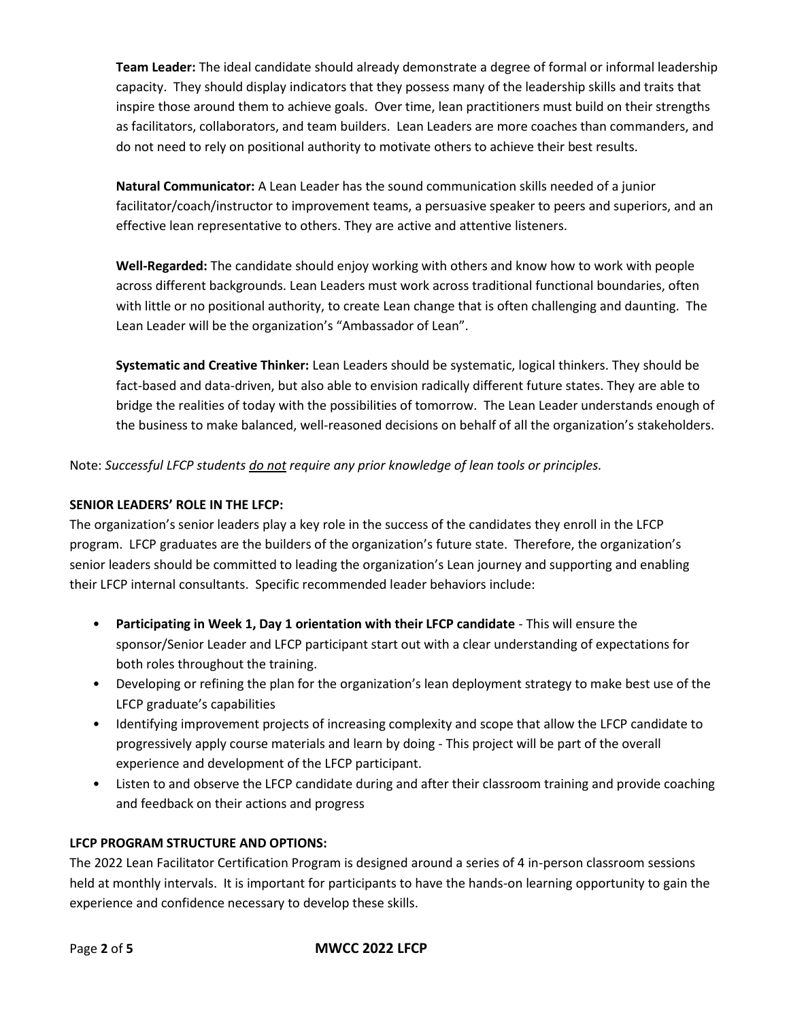**Team Leader:** The ideal candidate should already demonstrate a degree of formal or informal leadership capacity. They should display indicators that they possess many of the leadership skills and traits that inspire those around them to achieve goals. Over time, lean practitioners must build on their strengths as facilitators, collaborators, and team builders. Lean Leaders are more coaches than commanders, and do not need to rely on positional authority to motivate others to achieve their best results.

**Natural Communicator:** A Lean Leader has the sound communication skills needed of a junior facilitator/coach/instructor to improvement teams, a persuasive speaker to peers and superiors, and an effective lean representative to others. They are active and attentive listeners.

**Well-Regarded:** The candidate should enjoy working with others and know how to work with people across different backgrounds. Lean Leaders must work across traditional functional boundaries, often with little or no positional authority, to create Lean change that is often challenging and daunting. The Lean Leader will be the organization's "Ambassador of Lean".

**Systematic and Creative Thinker:** Lean Leaders should be systematic, logical thinkers. They should be fact-based and data-driven, but also able to envision radically different future states. They are able to bridge the realities of today with the possibilities of tomorrow. The Lean Leader understands enough of the business to make balanced, well-reasoned decisions on behalf of all the organization's stakeholders.

Note: *Successful LFCP students do not require any prior knowledge of lean tools or principles.*

# **SENIOR LEADERS' ROLE IN THE LFCP:**

The organization's senior leaders play a key role in the success of the candidates they enroll in the LFCP program. LFCP graduates are the builders of the organization's future state. Therefore, the organization's senior leaders should be committed to leading the organization's Lean journey and supporting and enabling their LFCP internal consultants. Specific recommended leader behaviors include:

- **Participating in Week 1, Day 1 orientation with their LFCP candidate**  This will ensure the sponsor/Senior Leader and LFCP participant start out with a clear understanding of expectations for both roles throughout the training.
- Developing or refining the plan for the organization's lean deployment strategy to make best use of the LFCP graduate's capabilities
- Identifying improvement projects of increasing complexity and scope that allow the LFCP candidate to progressively apply course materials and learn by doing - This project will be part of the overall experience and development of the LFCP participant.
- Listen to and observe the LFCP candidate during and after their classroom training and provide coaching and feedback on their actions and progress

# **LFCP PROGRAM STRUCTURE AND OPTIONS:**

The 2022 Lean Facilitator Certification Program is designed around a series of 4 in-person classroom sessions held at monthly intervals. It is important for participants to have the hands-on learning opportunity to gain the experience and confidence necessary to develop these skills.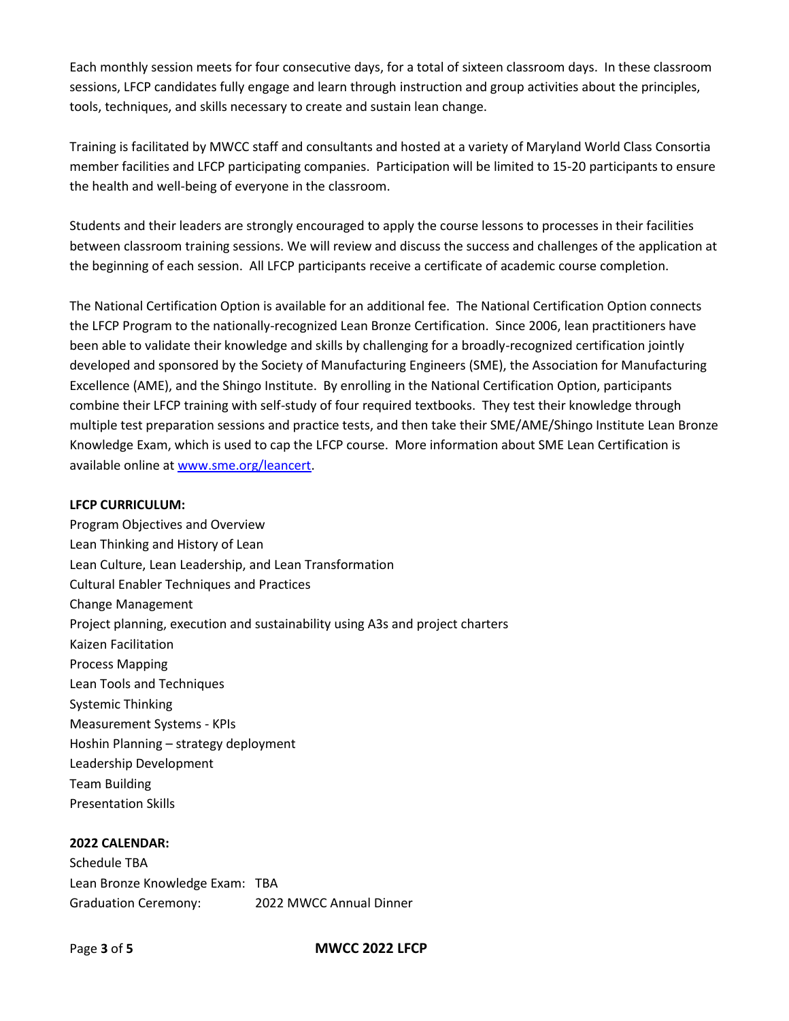Each monthly session meets for four consecutive days, for a total of sixteen classroom days. In these classroom sessions, LFCP candidates fully engage and learn through instruction and group activities about the principles, tools, techniques, and skills necessary to create and sustain lean change.

Training is facilitated by MWCC staff and consultants and hosted at a variety of Maryland World Class Consortia member facilities and LFCP participating companies. Participation will be limited to 15-20 participants to ensure the health and well-being of everyone in the classroom.

Students and their leaders are strongly encouraged to apply the course lessons to processes in their facilities between classroom training sessions. We will review and discuss the success and challenges of the application at the beginning of each session. All LFCP participants receive a certificate of academic course completion.

The National Certification Option is available for an additional fee. The National Certification Option connects the LFCP Program to the nationally-recognized Lean Bronze Certification. Since 2006, lean practitioners have been able to validate their knowledge and skills by challenging for a broadly-recognized certification jointly developed and sponsored by the Society of Manufacturing Engineers (SME), the Association for Manufacturing Excellence (AME), and the Shingo Institute. By enrolling in the National Certification Option, participants combine their LFCP training with self-study of four required textbooks. They test their knowledge through multiple test preparation sessions and practice tests, and then take their SME/AME/Shingo Institute Lean Bronze Knowledge Exam, which is used to cap the LFCP course. More information about SME Lean Certification is available online at [www.sme.org/leancert.](about:blank)

#### **LFCP CURRICULUM:**

Program Objectives and Overview Lean Thinking and History of Lean Lean Culture, Lean Leadership, and Lean Transformation Cultural Enabler Techniques and Practices Change Management Project planning, execution and sustainability using A3s and project charters Kaizen Facilitation Process Mapping Lean Tools and Techniques Systemic Thinking Measurement Systems - KPIs Hoshin Planning – strategy deployment Leadership Development Team Building Presentation Skills

# **2022 CALENDAR:**

Schedule TBA Lean Bronze Knowledge Exam: TBA Graduation Ceremony: 2022 MWCC Annual Dinner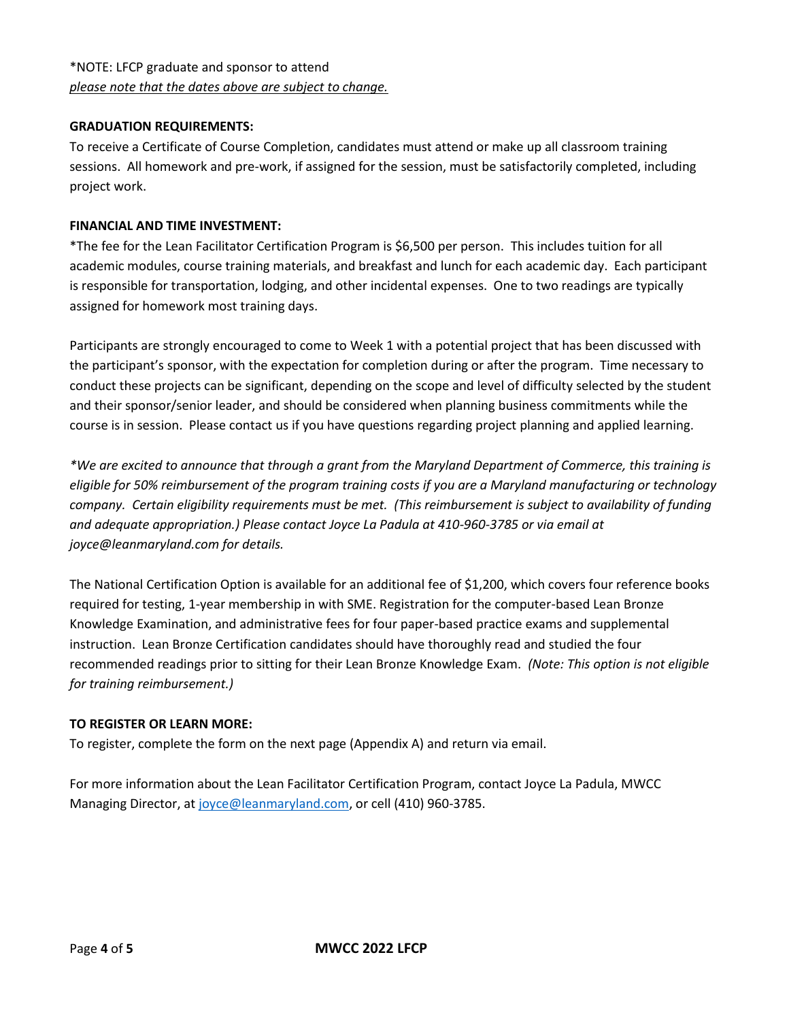# **GRADUATION REQUIREMENTS:**

To receive a Certificate of Course Completion, candidates must attend or make up all classroom training sessions. All homework and pre-work, if assigned for the session, must be satisfactorily completed, including project work.

### **FINANCIAL AND TIME INVESTMENT:**

\*The fee for the Lean Facilitator Certification Program is \$6,500 per person. This includes tuition for all academic modules, course training materials, and breakfast and lunch for each academic day. Each participant is responsible for transportation, lodging, and other incidental expenses. One to two readings are typically assigned for homework most training days.

Participants are strongly encouraged to come to Week 1 with a potential project that has been discussed with the participant's sponsor, with the expectation for completion during or after the program. Time necessary to conduct these projects can be significant, depending on the scope and level of difficulty selected by the student and their sponsor/senior leader, and should be considered when planning business commitments while the course is in session. Please contact us if you have questions regarding project planning and applied learning.

*\*We are excited to announce that through a grant from the Maryland Department of Commerce, this training is eligible for 50% reimbursement of the program training costs if you are a Maryland manufacturing or technology company. Certain eligibility requirements must be met. (This reimbursement is subject to availability of funding and adequate appropriation.) Please contact Joyce La Padula at 410-960-3785 or via email at joyce@leanmaryland.com for details.*

The National Certification Option is available for an additional fee of \$1,200, which covers four reference books required for testing, 1-year membership in with SME. Registration for the computer-based Lean Bronze Knowledge Examination, and administrative fees for four paper-based practice exams and supplemental instruction. Lean Bronze Certification candidates should have thoroughly read and studied the four recommended readings prior to sitting for their Lean Bronze Knowledge Exam. *(Note: This option is not eligible for training reimbursement.)*

# **TO REGISTER OR LEARN MORE:**

To register, complete the form on the next page (Appendix A) and return via email.

For more information about the Lean Facilitator Certification Program, contact Joyce La Padula, MWCC Managing Director, at [joyce@leanmaryland.com,](about:blank) or cell (410) 960-3785.